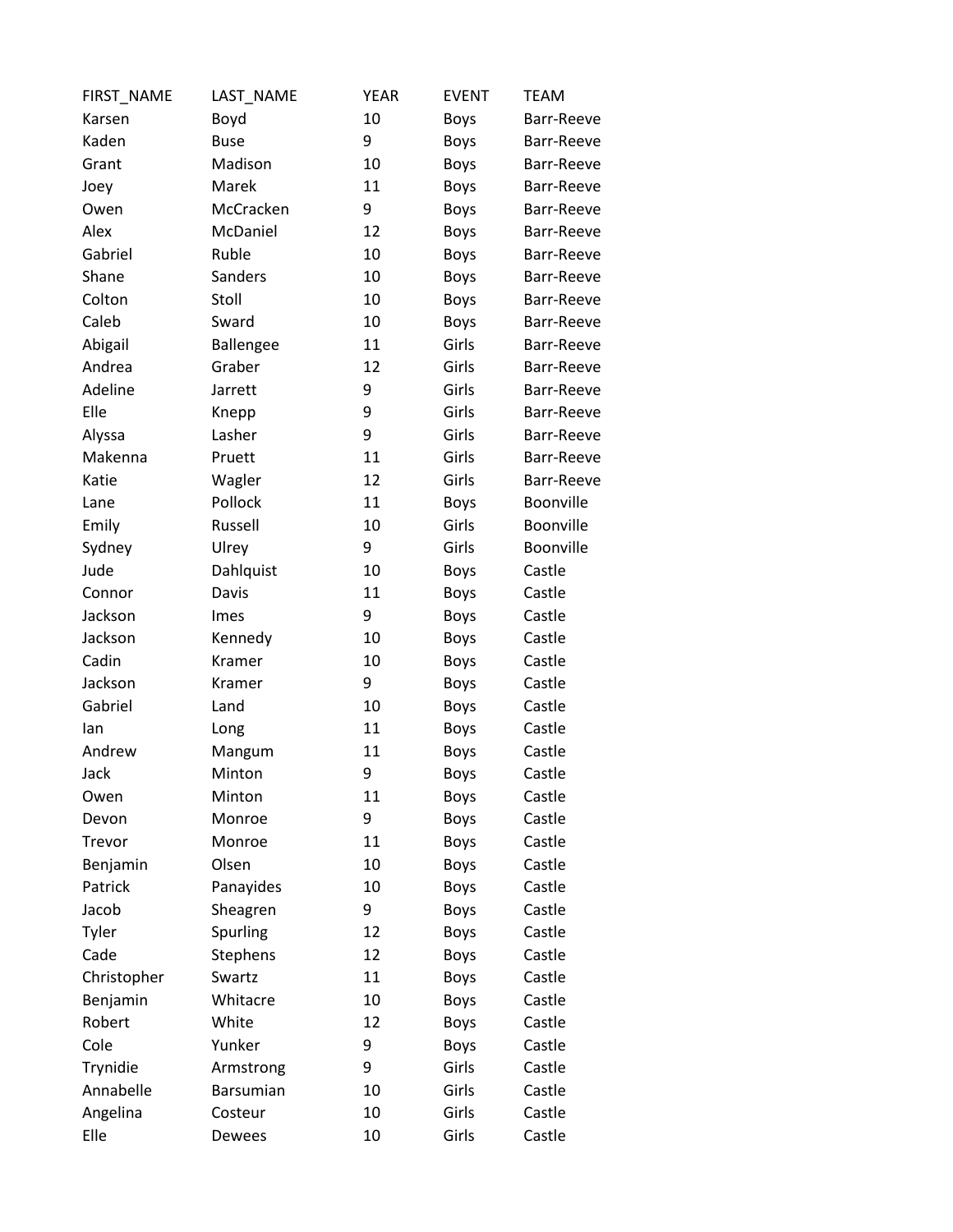| FIRST_NAME  | LAST_NAME   | <b>YEAR</b> | <b>EVENT</b> | <b>TEAM</b> |
|-------------|-------------|-------------|--------------|-------------|
| Karsen      | Boyd        | 10          | <b>Boys</b>  | Barr-Reeve  |
| Kaden       | <b>Buse</b> | 9           | Boys         | Barr-Reeve  |
| Grant       | Madison     | 10          | Boys         | Barr-Reeve  |
| Joey        | Marek       | 11          | Boys         | Barr-Reeve  |
| Owen        | McCracken   | 9           | Boys         | Barr-Reeve  |
| Alex        | McDaniel    | 12          | Boys         | Barr-Reeve  |
| Gabriel     | Ruble       | 10          | <b>Boys</b>  | Barr-Reeve  |
| Shane       | Sanders     | 10          | Boys         | Barr-Reeve  |
| Colton      | Stoll       | 10          | Boys         | Barr-Reeve  |
| Caleb       | Sward       | 10          | <b>Boys</b>  | Barr-Reeve  |
| Abigail     | Ballengee   | 11          | Girls        | Barr-Reeve  |
| Andrea      | Graber      | 12          | Girls        | Barr-Reeve  |
| Adeline     | Jarrett     | 9           | Girls        | Barr-Reeve  |
| Elle        | Knepp       | 9           | Girls        | Barr-Reeve  |
| Alyssa      | Lasher      | 9           | Girls        | Barr-Reeve  |
| Makenna     | Pruett      | 11          | Girls        | Barr-Reeve  |
| Katie       | Wagler      | 12          | Girls        | Barr-Reeve  |
| Lane        | Pollock     | 11          | Boys         | Boonville   |
| Emily       | Russell     | 10          | Girls        | Boonville   |
| Sydney      | Ulrey       | 9           | Girls        | Boonville   |
| Jude        | Dahlquist   | 10          | Boys         | Castle      |
| Connor      | Davis       | 11          | <b>Boys</b>  | Castle      |
| Jackson     | Imes        | 9           | Boys         | Castle      |
| Jackson     | Kennedy     | 10          | <b>Boys</b>  | Castle      |
| Cadin       | Kramer      | 10          | Boys         | Castle      |
| Jackson     | Kramer      | 9           | <b>Boys</b>  | Castle      |
| Gabriel     | Land        | 10          | Boys         | Castle      |
| lan         | Long        | 11          | Boys         | Castle      |
| Andrew      | Mangum      | 11          | <b>Boys</b>  | Castle      |
| Jack        | Minton      | 9           | <b>Boys</b>  | Castle      |
| Owen        | Minton      | 11          | <b>Boys</b>  | Castle      |
| Devon       | Monroe      | 9           | <b>Boys</b>  | Castle      |
| Trevor      | Monroe      | 11          | Boys         | Castle      |
| Benjamin    | Olsen       | 10          | Boys         | Castle      |
| Patrick     | Panayides   | 10          | Boys         | Castle      |
| Jacob       | Sheagren    | 9           | <b>Boys</b>  | Castle      |
| Tyler       | Spurling    | 12          | Boys         | Castle      |
| Cade        | Stephens    | 12          | Boys         | Castle      |
| Christopher | Swartz      | 11          | Boys         | Castle      |
| Benjamin    | Whitacre    | 10          | Boys         | Castle      |
| Robert      | White       | 12          | Boys         | Castle      |
| Cole        | Yunker      | 9           | Boys         | Castle      |
| Trynidie    | Armstrong   | 9           | Girls        | Castle      |
| Annabelle   | Barsumian   | 10          | Girls        | Castle      |
| Angelina    | Costeur     | 10          | Girls        | Castle      |
| Elle        | Dewees      | 10          | Girls        | Castle      |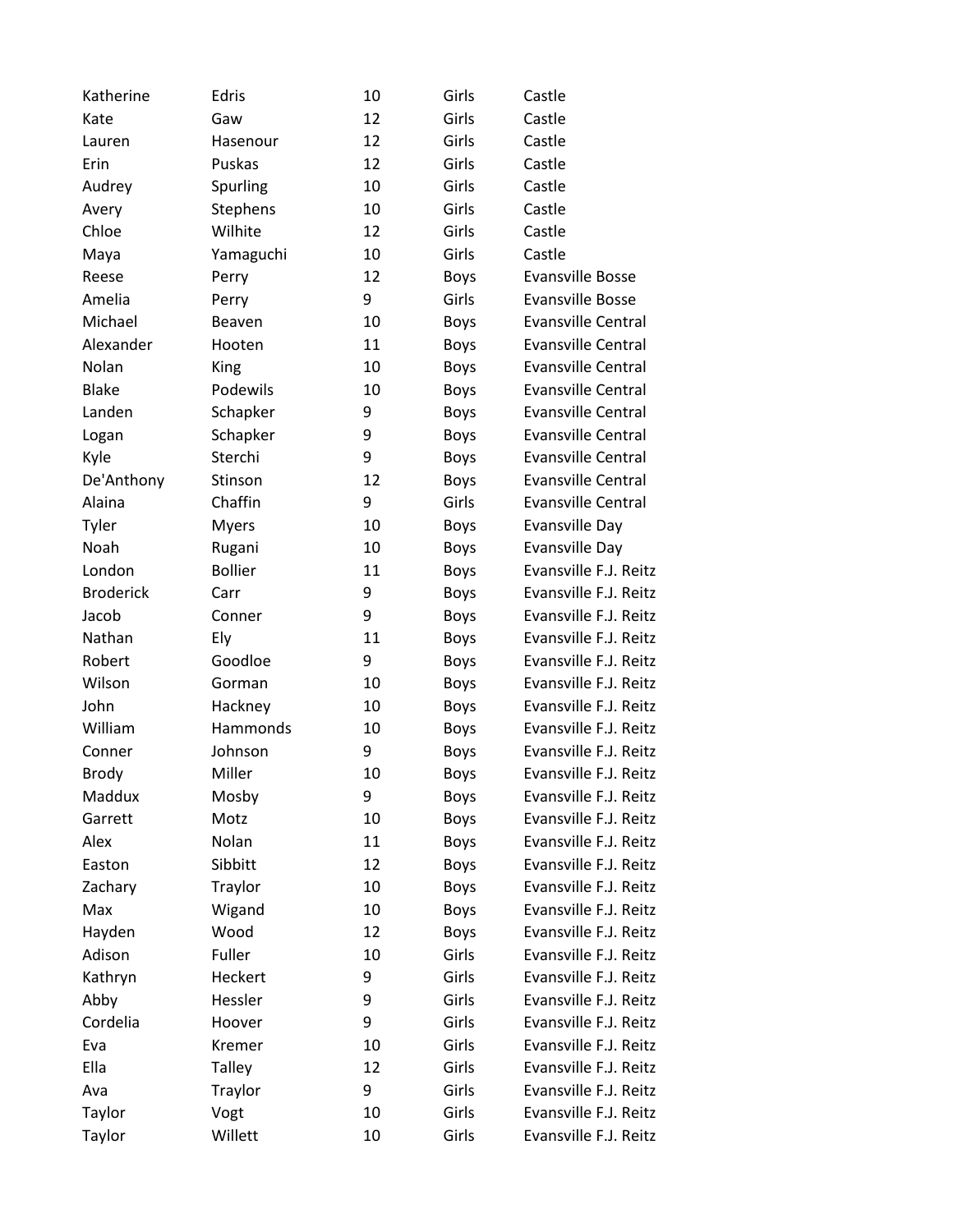| Katherine        | Edris          | 10 | Girls       | Castle                    |
|------------------|----------------|----|-------------|---------------------------|
| Kate             | Gaw            | 12 | Girls       | Castle                    |
| Lauren           | Hasenour       | 12 | Girls       | Castle                    |
| Erin             | Puskas         | 12 | Girls       | Castle                    |
| Audrey           | Spurling       | 10 | Girls       | Castle                    |
| Avery            | Stephens       | 10 | Girls       | Castle                    |
| Chloe            | Wilhite        | 12 | Girls       | Castle                    |
| Maya             | Yamaguchi      | 10 | Girls       | Castle                    |
| Reese            | Perry          | 12 | <b>Boys</b> | <b>Evansville Bosse</b>   |
| Amelia           | Perry          | 9  | Girls       | <b>Evansville Bosse</b>   |
| Michael          | Beaven         | 10 | Boys        | <b>Evansville Central</b> |
| Alexander        | Hooten         | 11 | Boys        | <b>Evansville Central</b> |
| Nolan            | King           | 10 | <b>Boys</b> | <b>Evansville Central</b> |
| <b>Blake</b>     | Podewils       | 10 | Boys        | <b>Evansville Central</b> |
| Landen           | Schapker       | 9  | <b>Boys</b> | <b>Evansville Central</b> |
| Logan            | Schapker       | 9  | <b>Boys</b> | <b>Evansville Central</b> |
| Kyle             | Sterchi        | 9  | <b>Boys</b> | <b>Evansville Central</b> |
| De'Anthony       | Stinson        | 12 | <b>Boys</b> | <b>Evansville Central</b> |
| Alaina           | Chaffin        | 9  | Girls       | <b>Evansville Central</b> |
| Tyler            | <b>Myers</b>   | 10 | Boys        | <b>Evansville Day</b>     |
| Noah             | Rugani         | 10 | Boys        | <b>Evansville Day</b>     |
| London           | <b>Bollier</b> | 11 | <b>Boys</b> | Evansville F.J. Reitz     |
| <b>Broderick</b> | Carr           | 9  | Boys        | Evansville F.J. Reitz     |
| Jacob            | Conner         | 9  | Boys        | Evansville F.J. Reitz     |
| Nathan           | Ely            | 11 | <b>Boys</b> | Evansville F.J. Reitz     |
| Robert           | Goodloe        | 9  | Boys        | Evansville F.J. Reitz     |
| Wilson           | Gorman         | 10 | <b>Boys</b> | Evansville F.J. Reitz     |
| John             | Hackney        | 10 | Boys        | Evansville F.J. Reitz     |
| William          | Hammonds       | 10 | Boys        | Evansville F.J. Reitz     |
| Conner           | Johnson        | 9  | <b>Boys</b> | Evansville F.J. Reitz     |
| <b>Brody</b>     | Miller         | 10 | <b>Boys</b> | Evansville F.J. Reitz     |
| Maddux           | Mosby          | 9  | Boys        | Evansville F.J. Reitz     |
| Garrett          | Motz           | 10 | <b>Boys</b> | Evansville F.J. Reitz     |
| Alex             | Nolan          | 11 | Boys        | Evansville F.J. Reitz     |
| Easton           | Sibbitt        | 12 | Boys        | Evansville F.J. Reitz     |
| Zachary          | Traylor        | 10 | Boys        | Evansville F.J. Reitz     |
| Max              | Wigand         | 10 | Boys        | Evansville F.J. Reitz     |
| Hayden           | Wood           | 12 | Boys        | Evansville F.J. Reitz     |
| Adison           | Fuller         | 10 | Girls       | Evansville F.J. Reitz     |
| Kathryn          | Heckert        | 9  | Girls       | Evansville F.J. Reitz     |
| Abby             | Hessler        | 9  | Girls       | Evansville F.J. Reitz     |
| Cordelia         | Hoover         | 9  | Girls       | Evansville F.J. Reitz     |
| Eva              | Kremer         | 10 | Girls       | Evansville F.J. Reitz     |
| Ella             | <b>Talley</b>  | 12 | Girls       | Evansville F.J. Reitz     |
| Ava              | Traylor        | 9  | Girls       | Evansville F.J. Reitz     |
| Taylor           | Vogt           | 10 | Girls       | Evansville F.J. Reitz     |
| Taylor           | Willett        | 10 | Girls       | Evansville F.J. Reitz     |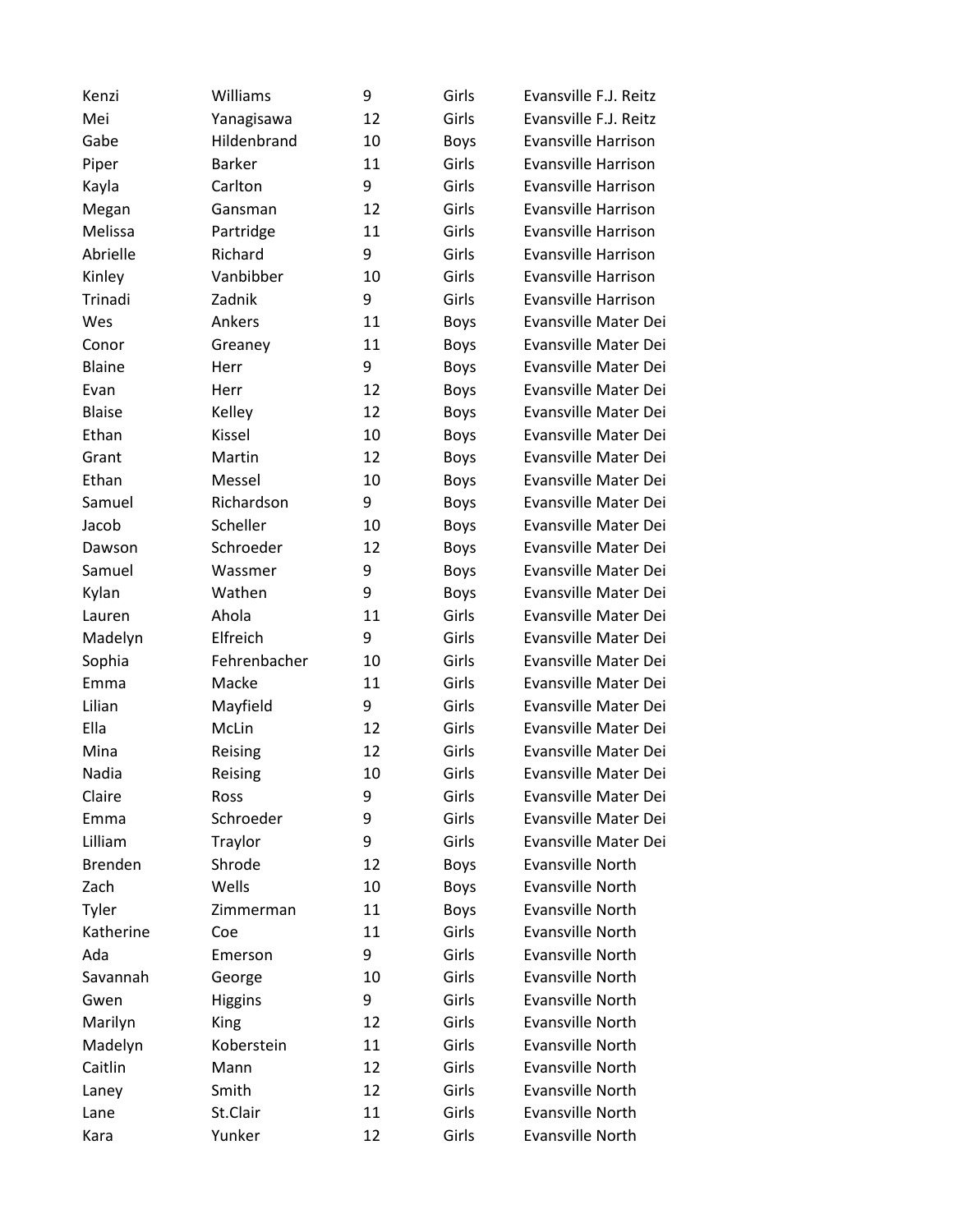| Kenzi          | Williams       | 9  | Girls       | Evansville F.J. Reitz      |
|----------------|----------------|----|-------------|----------------------------|
| Mei            | Yanagisawa     | 12 | Girls       | Evansville F.J. Reitz      |
| Gabe           | Hildenbrand    | 10 | <b>Boys</b> | <b>Evansville Harrison</b> |
| Piper          | <b>Barker</b>  | 11 | Girls       | <b>Evansville Harrison</b> |
| Kayla          | Carlton        | 9  | Girls       | <b>Evansville Harrison</b> |
| Megan          | Gansman        | 12 | Girls       | <b>Evansville Harrison</b> |
| Melissa        | Partridge      | 11 | Girls       | <b>Evansville Harrison</b> |
| Abrielle       | Richard        | 9  | Girls       | <b>Evansville Harrison</b> |
| Kinley         | Vanbibber      | 10 | Girls       | Evansville Harrison        |
| Trinadi        | Zadnik         | 9  | Girls       | <b>Evansville Harrison</b> |
| Wes            | Ankers         | 11 | <b>Boys</b> | Evansville Mater Dei       |
| Conor          | Greaney        | 11 | <b>Boys</b> | Evansville Mater Dei       |
| <b>Blaine</b>  | Herr           | 9  | <b>Boys</b> | Evansville Mater Dei       |
| Evan           | Herr           | 12 | <b>Boys</b> | Evansville Mater Dei       |
| <b>Blaise</b>  | Kelley         | 12 | <b>Boys</b> | Evansville Mater Dei       |
| Ethan          | Kissel         | 10 | <b>Boys</b> | Evansville Mater Dei       |
| Grant          | Martin         | 12 | <b>Boys</b> | Evansville Mater Dei       |
| Ethan          | Messel         | 10 | <b>Boys</b> | Evansville Mater Dei       |
| Samuel         | Richardson     | 9  | <b>Boys</b> | Evansville Mater Dei       |
| Jacob          | Scheller       | 10 | <b>Boys</b> | Evansville Mater Dei       |
| Dawson         | Schroeder      | 12 | <b>Boys</b> | Evansville Mater Dei       |
| Samuel         | Wassmer        | 9  | <b>Boys</b> | Evansville Mater Dei       |
| Kylan          | Wathen         | 9  | <b>Boys</b> | Evansville Mater Dei       |
| Lauren         | Ahola          | 11 | Girls       | Evansville Mater Dei       |
| Madelyn        | Elfreich       | 9  | Girls       | Evansville Mater Dei       |
| Sophia         | Fehrenbacher   | 10 | Girls       | Evansville Mater Dei       |
| Emma           | Macke          | 11 | Girls       | Evansville Mater Dei       |
| Lilian         | Mayfield       | 9  | Girls       | Evansville Mater Dei       |
| Ella           | McLin          | 12 | Girls       | Evansville Mater Dei       |
| Mina           | Reising        | 12 | Girls       | Evansville Mater Dei       |
| Nadia          | Reising        | 10 | Girls       | Evansville Mater Dei       |
| Claire         | Ross           | 9  | Girls       | Evansville Mater Dei       |
| Emma           | Schroeder      | 9  | Girls       | Evansville Mater Dei       |
| Lilliam        | Traylor        | 9  | Girls       | Evansville Mater Dei       |
| <b>Brenden</b> | Shrode         | 12 | <b>Boys</b> | Evansville North           |
| Zach           | Wells          | 10 | <b>Boys</b> | Evansville North           |
| Tyler          | Zimmerman      | 11 | <b>Boys</b> | <b>Evansville North</b>    |
| Katherine      | Coe            | 11 | Girls       | Evansville North           |
| Ada            | Emerson        | 9  | Girls       | <b>Evansville North</b>    |
| Savannah       | George         | 10 | Girls       | Evansville North           |
| Gwen           | <b>Higgins</b> | 9  | Girls       | Evansville North           |
| Marilyn        | King           | 12 | Girls       | Evansville North           |
| Madelyn        | Koberstein     | 11 | Girls       | Evansville North           |
| Caitlin        | Mann           | 12 | Girls       | <b>Evansville North</b>    |
| Laney          | Smith          | 12 | Girls       | Evansville North           |
| Lane           | St.Clair       | 11 | Girls       | <b>Evansville North</b>    |
| Kara           | Yunker         | 12 | Girls       | Evansville North           |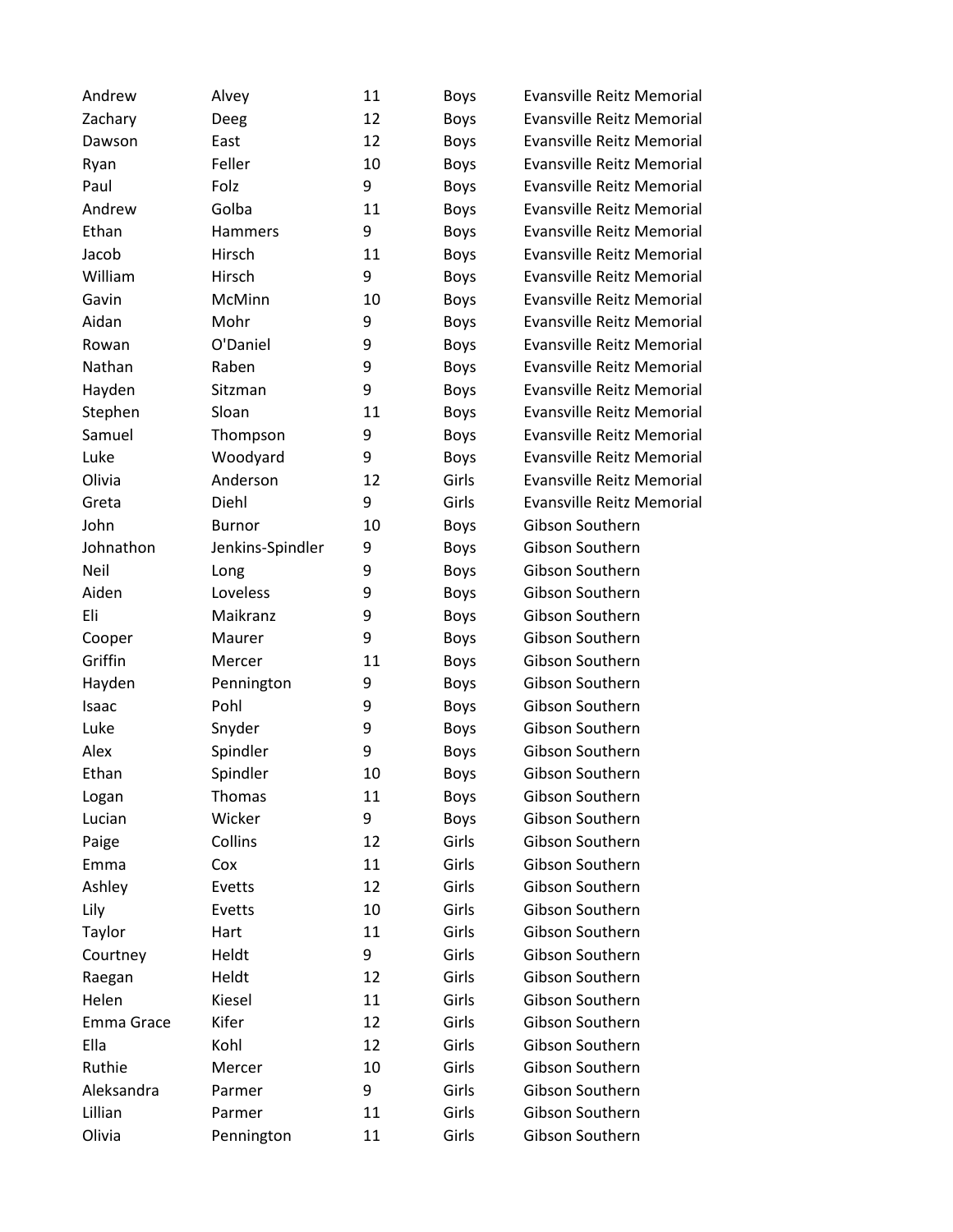| Andrew       |                  | 11 |                     | <b>Evansville Reitz Memorial</b> |
|--------------|------------------|----|---------------------|----------------------------------|
| Zachary      | Alvey<br>Deeg    | 12 | <b>Boys</b><br>Boys | <b>Evansville Reitz Memorial</b> |
|              | East             | 12 | Boys                | <b>Evansville Reitz Memorial</b> |
| Dawson       | Feller           | 10 |                     | <b>Evansville Reitz Memorial</b> |
| Ryan<br>Paul | Folz             | 9  | Boys                | <b>Evansville Reitz Memorial</b> |
| Andrew       | Golba            | 11 | Boys                | <b>Evansville Reitz Memorial</b> |
| Ethan        |                  | 9  | Boys                |                                  |
| Jacob        | Hammers          | 11 | Boys                | <b>Evansville Reitz Memorial</b> |
|              | Hirsch           |    | <b>Boys</b>         | <b>Evansville Reitz Memorial</b> |
| William      | Hirsch           | 9  | Boys                | <b>Evansville Reitz Memorial</b> |
| Gavin        | McMinn           | 10 | Boys                | <b>Evansville Reitz Memorial</b> |
| Aidan        | Mohr             | 9  | Boys                | <b>Evansville Reitz Memorial</b> |
| Rowan        | O'Daniel         | 9  | Boys                | <b>Evansville Reitz Memorial</b> |
| Nathan       | Raben            | 9  | Boys                | <b>Evansville Reitz Memorial</b> |
| Hayden       | Sitzman          | 9  | Boys                | <b>Evansville Reitz Memorial</b> |
| Stephen      | Sloan            | 11 | Boys                | <b>Evansville Reitz Memorial</b> |
| Samuel       | Thompson         | 9  | Boys                | <b>Evansville Reitz Memorial</b> |
| Luke         | Woodyard         | 9  | <b>Boys</b>         | <b>Evansville Reitz Memorial</b> |
| Olivia       | Anderson         | 12 | Girls               | <b>Evansville Reitz Memorial</b> |
| Greta        | Diehl            | 9  | Girls               | <b>Evansville Reitz Memorial</b> |
| John         | <b>Burnor</b>    | 10 | Boys                | Gibson Southern                  |
| Johnathon    | Jenkins-Spindler | 9  | Boys                | Gibson Southern                  |
| Neil         | Long             | 9  | Boys                | Gibson Southern                  |
| Aiden        | Loveless         | 9  | Boys                | Gibson Southern                  |
| Eli          | Maikranz         | 9  | Boys                | Gibson Southern                  |
| Cooper       | Maurer           | 9  | Boys                | Gibson Southern                  |
| Griffin      | Mercer           | 11 | Boys                | Gibson Southern                  |
| Hayden       | Pennington       | 9  | Boys                | Gibson Southern                  |
| Isaac        | Pohl             | 9  | Boys                | Gibson Southern                  |
| Luke         | Snyder           | 9  | Boys                | Gibson Southern                  |
| Alex         | Spindler         | 9  | Boys                | Gibson Southern                  |
| Ethan        | Spindler         | 10 | <b>Boys</b>         | Gibson Southern                  |
| Logan        | Thomas           | 11 | <b>Boys</b>         | Gibson Southern                  |
| Lucian       | Wicker           | 9  | Boys                | Gibson Southern                  |
| Paige        | Collins          | 12 | Girls               | Gibson Southern                  |
| Emma         | Cox              | 11 | Girls               | Gibson Southern                  |
| Ashley       | Evetts           | 12 | Girls               | Gibson Southern                  |
| Lily         | Evetts           | 10 | Girls               | Gibson Southern                  |
| Taylor       | Hart             | 11 | Girls               | Gibson Southern                  |
|              | Heldt            | 9  | Girls               | Gibson Southern                  |
| Courtney     | Heldt            | 12 | Girls               | Gibson Southern                  |
| Raegan       |                  |    |                     |                                  |
| Helen        | Kiesel           | 11 | Girls               | Gibson Southern                  |
| Emma Grace   | Kifer            | 12 | Girls               | Gibson Southern                  |
| Ella         | Kohl             | 12 | Girls               | Gibson Southern                  |
| Ruthie       | Mercer           | 10 | Girls               | Gibson Southern                  |
| Aleksandra   | Parmer           | 9  | Girls               | Gibson Southern                  |
| Lillian      | Parmer           | 11 | Girls               | Gibson Southern                  |
| Olivia       | Pennington       | 11 | Girls               | Gibson Southern                  |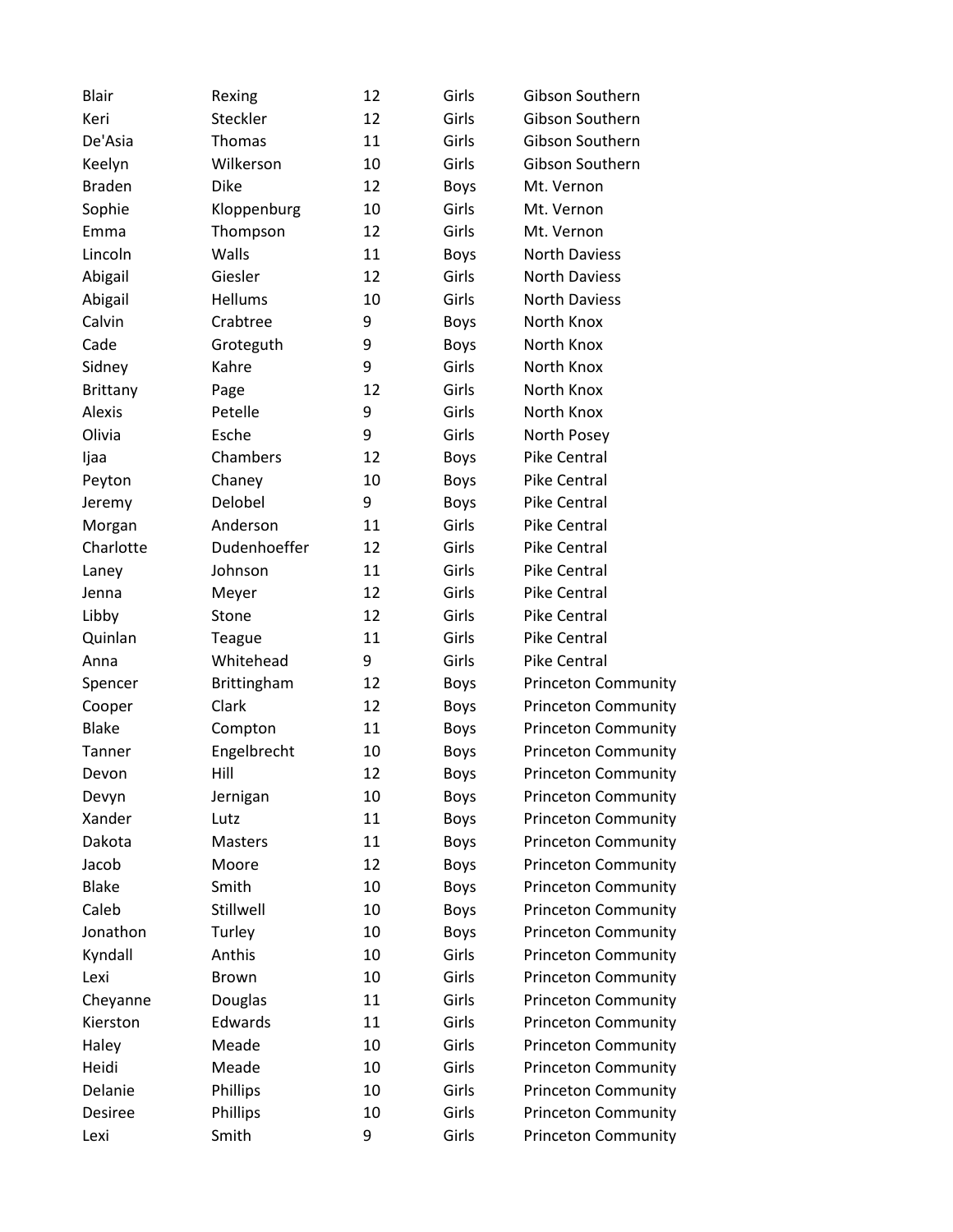| <b>Blair</b>    | Rexing         | 12 | Girls       | Gibson Southern            |
|-----------------|----------------|----|-------------|----------------------------|
| Keri            | Steckler       | 12 | Girls       | Gibson Southern            |
| De'Asia         | Thomas         | 11 | Girls       | Gibson Southern            |
| Keelyn          | Wilkerson      | 10 | Girls       | Gibson Southern            |
| <b>Braden</b>   | <b>Dike</b>    | 12 | <b>Boys</b> | Mt. Vernon                 |
| Sophie          | Kloppenburg    | 10 | Girls       | Mt. Vernon                 |
| Emma            | Thompson       | 12 | Girls       | Mt. Vernon                 |
| Lincoln         | Walls          | 11 | Boys        | <b>North Daviess</b>       |
| Abigail         | Giesler        | 12 | Girls       | <b>North Daviess</b>       |
| Abigail         | Hellums        | 10 | Girls       | <b>North Daviess</b>       |
| Calvin          | Crabtree       | 9  | Boys        | North Knox                 |
| Cade            | Groteguth      | 9  | Boys        | North Knox                 |
| Sidney          | Kahre          | 9  | Girls       | North Knox                 |
| <b>Brittany</b> | Page           | 12 | Girls       | North Knox                 |
| Alexis          | Petelle        | 9  | Girls       | North Knox                 |
| Olivia          | Esche          | 9  | Girls       | North Posey                |
| Ijaa            | Chambers       | 12 | Boys        | <b>Pike Central</b>        |
| Peyton          | Chaney         | 10 | <b>Boys</b> | Pike Central               |
| Jeremy          | Delobel        | 9  | Boys        | <b>Pike Central</b>        |
| Morgan          | Anderson       | 11 | Girls       | <b>Pike Central</b>        |
| Charlotte       | Dudenhoeffer   | 12 | Girls       | <b>Pike Central</b>        |
| Laney           | Johnson        | 11 | Girls       | <b>Pike Central</b>        |
| Jenna           | Meyer          | 12 | Girls       | Pike Central               |
| Libby           | Stone          | 12 | Girls       | Pike Central               |
| Quinlan         | Teague         | 11 | Girls       | Pike Central               |
| Anna            | Whitehead      | 9  | Girls       | Pike Central               |
| Spencer         | Brittingham    | 12 | Boys        | <b>Princeton Community</b> |
| Cooper          | Clark          | 12 | Boys        | <b>Princeton Community</b> |
| <b>Blake</b>    | Compton        | 11 | Boys        | <b>Princeton Community</b> |
| <b>Tanner</b>   | Engelbrecht    | 10 | Boys        | <b>Princeton Community</b> |
| Devon           | Hill           | 12 | <b>Boys</b> | <b>Princeton Community</b> |
| Devyn           | Jernigan       | 10 | Boys        | <b>Princeton Community</b> |
| Xander          | Lutz           | 11 | <b>Boys</b> | <b>Princeton Community</b> |
| Dakota          | <b>Masters</b> | 11 | <b>Boys</b> | <b>Princeton Community</b> |
| Jacob           | Moore          | 12 | <b>Boys</b> | <b>Princeton Community</b> |
| <b>Blake</b>    | Smith          | 10 | <b>Boys</b> | <b>Princeton Community</b> |
| Caleb           | Stillwell      | 10 | <b>Boys</b> | <b>Princeton Community</b> |
| Jonathon        | Turley         | 10 | <b>Boys</b> | <b>Princeton Community</b> |
| Kyndall         | Anthis         | 10 | Girls       | <b>Princeton Community</b> |
| Lexi            | <b>Brown</b>   | 10 | Girls       | <b>Princeton Community</b> |
| Cheyanne        | Douglas        | 11 | Girls       | <b>Princeton Community</b> |
| Kierston        | Edwards        | 11 | Girls       | <b>Princeton Community</b> |
| Haley           | Meade          | 10 | Girls       | <b>Princeton Community</b> |
| Heidi           | Meade          | 10 | Girls       | <b>Princeton Community</b> |
| Delanie         | Phillips       | 10 | Girls       | <b>Princeton Community</b> |
| Desiree         | Phillips       | 10 | Girls       | <b>Princeton Community</b> |
| Lexi            | Smith          | 9  | Girls       | <b>Princeton Community</b> |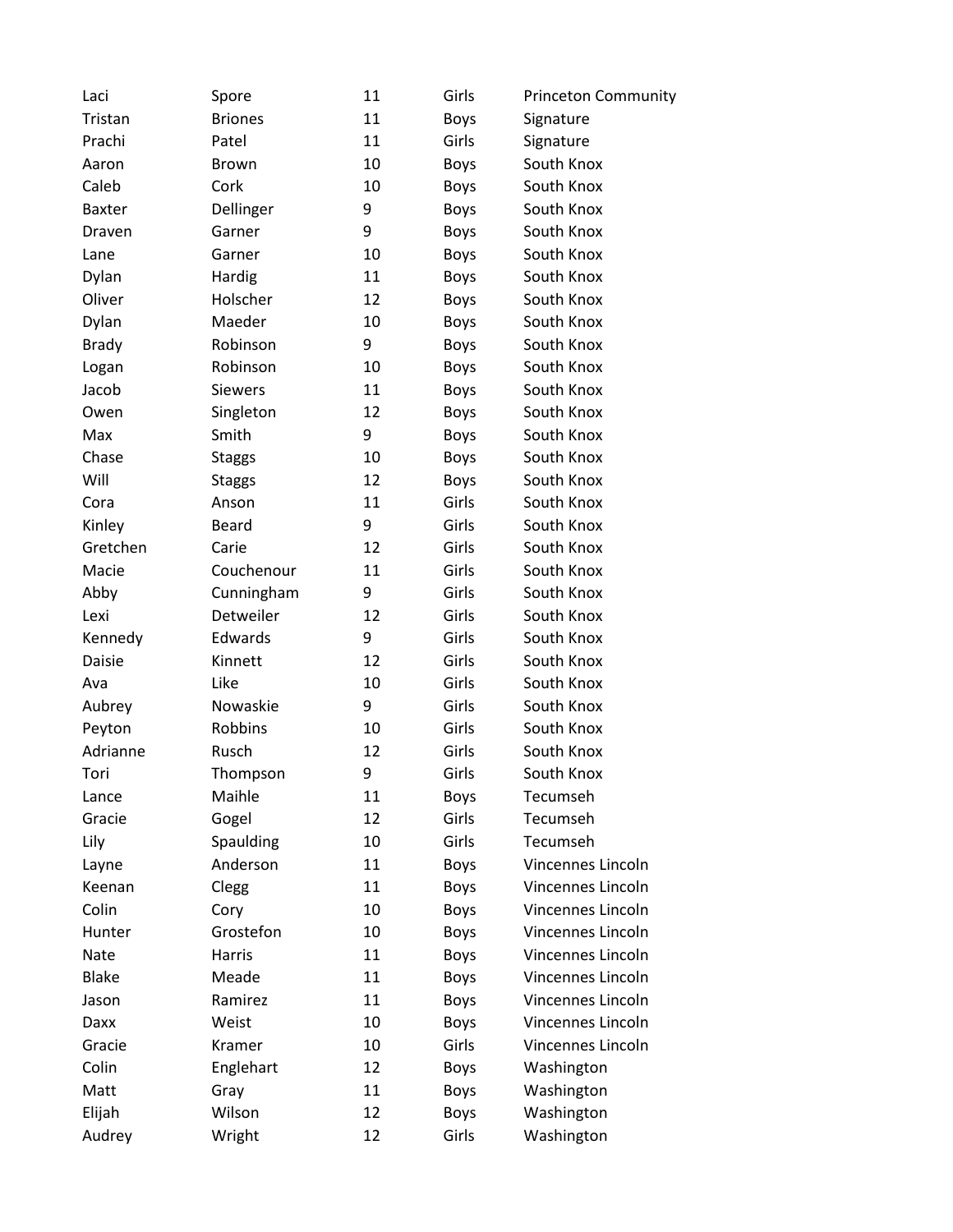| Laci          | Spore          | 11 | Girls       | Princeton Community |
|---------------|----------------|----|-------------|---------------------|
| Tristan       | <b>Briones</b> | 11 | Boys        | Signature           |
| Prachi        | Patel          | 11 | Girls       | Signature           |
| Aaron         | Brown          | 10 | Boys        | South Knox          |
| Caleb         | Cork           | 10 | <b>Boys</b> | South Knox          |
| <b>Baxter</b> | Dellinger      | 9  | Boys        | South Knox          |
| Draven        | Garner         | 9  | Boys        | South Knox          |
| Lane          | Garner         | 10 | <b>Boys</b> | South Knox          |
| Dylan         | Hardig         | 11 | Boys        | South Knox          |
| Oliver        | Holscher       | 12 | Boys        | South Knox          |
| Dylan         | Maeder         | 10 | Boys        | South Knox          |
| <b>Brady</b>  | Robinson       | 9  | Boys        | South Knox          |
| Logan         | Robinson       | 10 | <b>Boys</b> | South Knox          |
| Jacob         | Siewers        | 11 | <b>Boys</b> | South Knox          |
| Owen          | Singleton      | 12 | <b>Boys</b> | South Knox          |
| Max           | Smith          | 9  | <b>Boys</b> | South Knox          |
| Chase         | <b>Staggs</b>  | 10 | Boys        | South Knox          |
| Will          | <b>Staggs</b>  | 12 | <b>Boys</b> | South Knox          |
| Cora          | Anson          | 11 | Girls       | South Knox          |
| Kinley        | <b>Beard</b>   | 9  | Girls       | South Knox          |
| Gretchen      | Carie          | 12 | Girls       | South Knox          |
| Macie         | Couchenour     | 11 | Girls       | South Knox          |
| Abby          | Cunningham     | 9  | Girls       | South Knox          |
| Lexi          | Detweiler      | 12 | Girls       | South Knox          |
| Kennedy       | Edwards        | 9  | Girls       | South Knox          |
| Daisie        | Kinnett        | 12 | Girls       | South Knox          |
| Ava           | Like           | 10 | Girls       | South Knox          |
| Aubrey        | Nowaskie       | 9  | Girls       | South Knox          |
| Peyton        | Robbins        | 10 | Girls       | South Knox          |
| Adrianne      | Rusch          | 12 | Girls       | South Knox          |
| Tori          | Thompson       | 9  | Girls       | South Knox          |
| Lance         | Maihle         | 11 | <b>Boys</b> | Tecumseh            |
| Gracie        | Gogel          | 12 | Girls       | Tecumseh            |
| Lily          | Spaulding      | 10 | Girls       | Tecumseh            |
| Layne         | Anderson       | 11 | <b>Boys</b> | Vincennes Lincoln   |
| Keenan        | Clegg          | 11 | Boys        | Vincennes Lincoln   |
| Colin         | Cory           | 10 | <b>Boys</b> | Vincennes Lincoln   |
| Hunter        | Grostefon      | 10 | <b>Boys</b> | Vincennes Lincoln   |
| Nate          | Harris         | 11 | Boys        | Vincennes Lincoln   |
| <b>Blake</b>  | Meade          | 11 | <b>Boys</b> | Vincennes Lincoln   |
| Jason         | Ramirez        | 11 | <b>Boys</b> | Vincennes Lincoln   |
| Daxx          | Weist          | 10 | <b>Boys</b> | Vincennes Lincoln   |
| Gracie        | Kramer         | 10 | Girls       | Vincennes Lincoln   |
| Colin         | Englehart      | 12 | Boys        | Washington          |
| Matt          | Gray           | 11 | Boys        | Washington          |
| Elijah        | Wilson         | 12 | <b>Boys</b> | Washington          |
| Audrey        | Wright         | 12 | Girls       | Washington          |